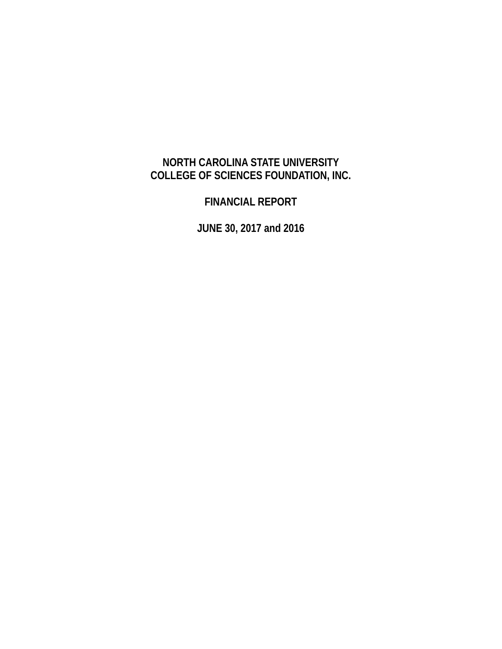# **NORTH CAROLINA STATE UNIVERSITY COLLEGE OF SCIENCES FOUNDATION, INC.**

**FINANCIAL REPORT** 

**JUNE 30, 2017 and 2016**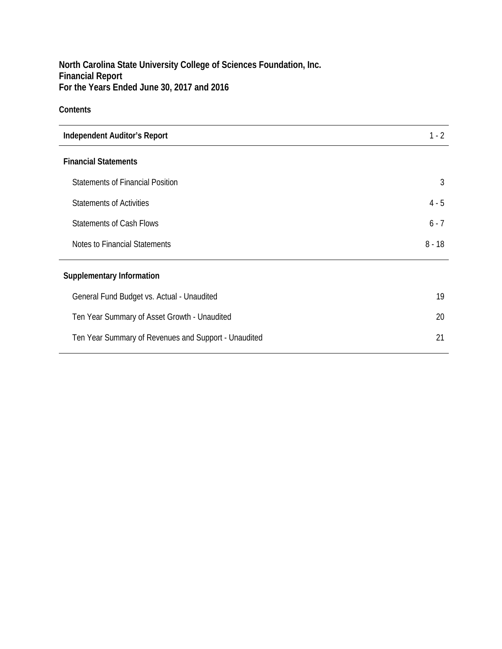## **Contents**

| <b>Independent Auditor's Report</b>                  | $1 - 2$  |
|------------------------------------------------------|----------|
| <b>Financial Statements</b>                          |          |
| <b>Statements of Financial Position</b>              | 3        |
| <b>Statements of Activities</b>                      | $4 - 5$  |
| <b>Statements of Cash Flows</b>                      | $6 - 7$  |
| Notes to Financial Statements                        | $8 - 18$ |
| <b>Supplementary Information</b>                     |          |
| General Fund Budget vs. Actual - Unaudited           | 19       |
| Ten Year Summary of Asset Growth - Unaudited         | 20       |
| Ten Year Summary of Revenues and Support - Unaudited | 21       |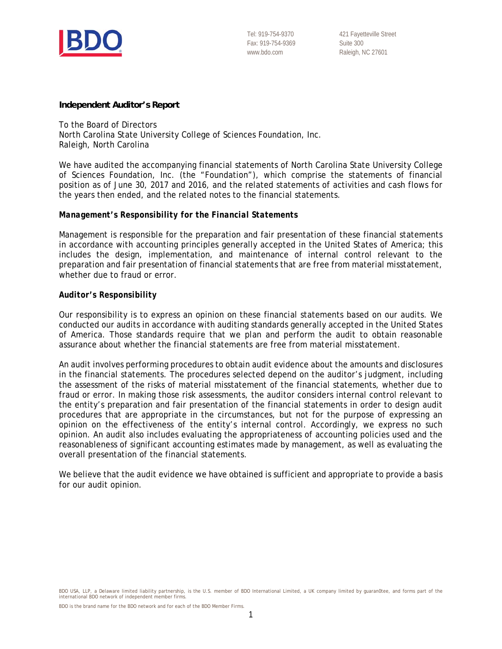

421 Fayetteville Street Suite 300 Raleigh, NC 27601

#### **Independent Auditor's Report**

To the Board of Directors North Carolina State University College of Sciences Foundation, Inc. Raleigh, North Carolina

We have audited the accompanying financial statements of North Carolina State University College of Sciences Foundation, Inc. (the "Foundation"), which comprise the statements of financial position as of June 30, 2017 and 2016, and the related statements of activities and cash flows for the years then ended, and the related notes to the financial statements.

#### *Management's Responsibility for the Financial Statements*

Management is responsible for the preparation and fair presentation of these financial statements in accordance with accounting principles generally accepted in the United States of America; this includes the design, implementation, and maintenance of internal control relevant to the preparation and fair presentation of financial statements that are free from material misstatement, whether due to fraud or error.

#### *Auditor's Responsibility*

Our responsibility is to express an opinion on these financial statements based on our audits. We conducted our audits in accordance with auditing standards generally accepted in the United States of America. Those standards require that we plan and perform the audit to obtain reasonable assurance about whether the financial statements are free from material misstatement.

An audit involves performing procedures to obtain audit evidence about the amounts and disclosures in the financial statements. The procedures selected depend on the auditor's judgment, including the assessment of the risks of material misstatement of the financial statements, whether due to fraud or error. In making those risk assessments, the auditor considers internal control relevant to the entity's preparation and fair presentation of the financial statements in order to design audit procedures that are appropriate in the circumstances, but not for the purpose of expressing an opinion on the effectiveness of the entity's internal control. Accordingly, we express no such opinion. An audit also includes evaluating the appropriateness of accounting policies used and the reasonableness of significant accounting estimates made by management, as well as evaluating the overall presentation of the financial statements.

We believe that the audit evidence we have obtained is sufficient and appropriate to provide a basis for our audit opinion.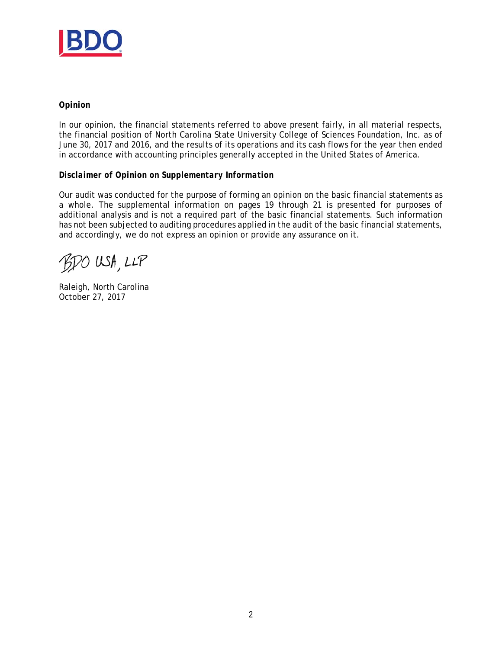

#### *Opinion*

In our opinion, the financial statements referred to above present fairly, in all material respects, the financial position of North Carolina State University College of Sciences Foundation, Inc. as of June 30, 2017 and 2016, and the results of its operations and its cash flows for the year then ended in accordance with accounting principles generally accepted in the United States of America.

#### *Disclaimer of Opinion on Supplementary Information*

Our audit was conducted for the purpose of forming an opinion on the basic financial statements as a whole. The supplemental information on pages 19 through 21 is presented for purposes of additional analysis and is not a required part of the basic financial statements. Such information has not been subjected to auditing procedures applied in the audit of the basic financial statements, and accordingly, we do not express an opinion or provide any assurance on it.

BDO USA, LLP

Raleigh, North Carolina October 27, 2017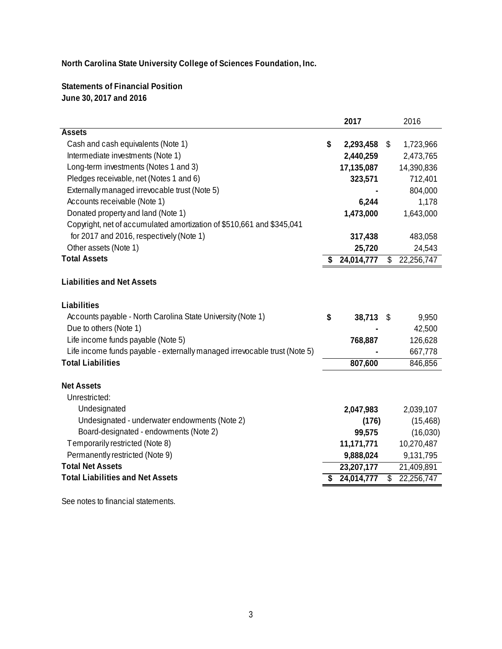**Statements of Financial Position June 30, 2017 and 2016**

| <b>Assets</b><br>Cash and cash equivalents (Note 1)<br>\$<br>2,293,458<br>\$<br>1,723,966<br>Intermediate investments (Note 1)<br>2,440,259<br>2,473,765<br>Long-term investments (Notes 1 and 3)<br>17,135,087<br>14,390,836<br>Pledges receivable, net (Notes 1 and 6)<br>323,571<br>712,401<br>Externally managed irrevocable trust (Note 5)<br>804,000<br>Accounts receivable (Note 1)<br>6,244<br>Donated property and land (Note 1)<br>1,473,000<br>1,643,000<br>Copyright, net of accumulated amortization of \$510,661 and \$345,041<br>for 2017 and 2016, respectively (Note 1)<br>317,438<br>483,058<br>Other assets (Note 1)<br>25,720<br><b>Total Assets</b><br>24,014,777<br>22,256,747<br>\$<br><b>Liabilities and Net Assets</b> |           |
|-------------------------------------------------------------------------------------------------------------------------------------------------------------------------------------------------------------------------------------------------------------------------------------------------------------------------------------------------------------------------------------------------------------------------------------------------------------------------------------------------------------------------------------------------------------------------------------------------------------------------------------------------------------------------------------------------------------------------------------------------|-----------|
|                                                                                                                                                                                                                                                                                                                                                                                                                                                                                                                                                                                                                                                                                                                                                 |           |
|                                                                                                                                                                                                                                                                                                                                                                                                                                                                                                                                                                                                                                                                                                                                                 |           |
|                                                                                                                                                                                                                                                                                                                                                                                                                                                                                                                                                                                                                                                                                                                                                 |           |
|                                                                                                                                                                                                                                                                                                                                                                                                                                                                                                                                                                                                                                                                                                                                                 |           |
|                                                                                                                                                                                                                                                                                                                                                                                                                                                                                                                                                                                                                                                                                                                                                 |           |
|                                                                                                                                                                                                                                                                                                                                                                                                                                                                                                                                                                                                                                                                                                                                                 |           |
|                                                                                                                                                                                                                                                                                                                                                                                                                                                                                                                                                                                                                                                                                                                                                 | 1,178     |
|                                                                                                                                                                                                                                                                                                                                                                                                                                                                                                                                                                                                                                                                                                                                                 |           |
|                                                                                                                                                                                                                                                                                                                                                                                                                                                                                                                                                                                                                                                                                                                                                 |           |
|                                                                                                                                                                                                                                                                                                                                                                                                                                                                                                                                                                                                                                                                                                                                                 |           |
|                                                                                                                                                                                                                                                                                                                                                                                                                                                                                                                                                                                                                                                                                                                                                 | 24,543    |
|                                                                                                                                                                                                                                                                                                                                                                                                                                                                                                                                                                                                                                                                                                                                                 |           |
|                                                                                                                                                                                                                                                                                                                                                                                                                                                                                                                                                                                                                                                                                                                                                 |           |
| Liabilities                                                                                                                                                                                                                                                                                                                                                                                                                                                                                                                                                                                                                                                                                                                                     |           |
| Accounts payable - North Carolina State University (Note 1)<br>\$<br>38,713<br>\$                                                                                                                                                                                                                                                                                                                                                                                                                                                                                                                                                                                                                                                               | 9,950     |
| Due to others (Note 1)                                                                                                                                                                                                                                                                                                                                                                                                                                                                                                                                                                                                                                                                                                                          | 42,500    |
| Life income funds payable (Note 5)<br>768,887<br>126,628                                                                                                                                                                                                                                                                                                                                                                                                                                                                                                                                                                                                                                                                                        |           |
| Life income funds payable - externally managed irrevocable trust (Note 5)<br>667,778                                                                                                                                                                                                                                                                                                                                                                                                                                                                                                                                                                                                                                                            |           |
| <b>Total Liabilities</b><br>807,600<br>846,856                                                                                                                                                                                                                                                                                                                                                                                                                                                                                                                                                                                                                                                                                                  |           |
| <b>Net Assets</b>                                                                                                                                                                                                                                                                                                                                                                                                                                                                                                                                                                                                                                                                                                                               |           |
| Unrestricted:                                                                                                                                                                                                                                                                                                                                                                                                                                                                                                                                                                                                                                                                                                                                   |           |
| Undesignated<br>2,047,983<br>2,039,107                                                                                                                                                                                                                                                                                                                                                                                                                                                                                                                                                                                                                                                                                                          |           |
| Undesignated - underwater endowments (Note 2)<br>(176)                                                                                                                                                                                                                                                                                                                                                                                                                                                                                                                                                                                                                                                                                          | (15, 468) |
| Board-designated - endowments (Note 2)<br>99,575                                                                                                                                                                                                                                                                                                                                                                                                                                                                                                                                                                                                                                                                                                | (16,030)  |
| Temporarily restricted (Note 8)<br>11,171,771<br>10,270,487                                                                                                                                                                                                                                                                                                                                                                                                                                                                                                                                                                                                                                                                                     |           |
| Permanently restricted (Note 9)<br>9,888,024<br>9,131,795                                                                                                                                                                                                                                                                                                                                                                                                                                                                                                                                                                                                                                                                                       |           |
| <b>Total Net Assets</b><br>23,207,177<br>21,409,891                                                                                                                                                                                                                                                                                                                                                                                                                                                                                                                                                                                                                                                                                             |           |
| <b>Total Liabilities and Net Assets</b><br>22,256,747<br>24,014,777<br>\$                                                                                                                                                                                                                                                                                                                                                                                                                                                                                                                                                                                                                                                                       |           |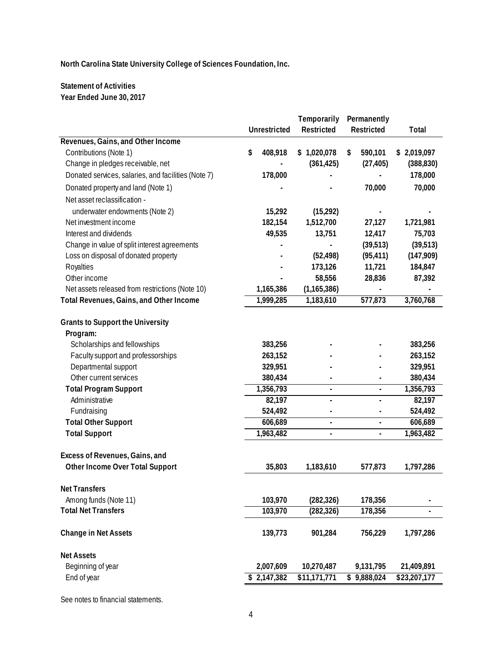### **Statement of Activities Year Ended June 30, 2017**

|                                                     | <b>Unrestricted</b> | Temporarily<br>Permanently<br>Restricted<br>Restricted |    |                | Total        |
|-----------------------------------------------------|---------------------|--------------------------------------------------------|----|----------------|--------------|
| Revenues, Gains, and Other Income                   |                     |                                                        |    |                |              |
| Contributions (Note 1)                              | \$<br>408,918       | \$1,020,078                                            | \$ | 590,101        | \$2,019,097  |
| Change in pledges receivable, net                   |                     | (361, 425)                                             |    | (27, 405)      | (388, 830)   |
| Donated services, salaries, and facilities (Note 7) | 178,000             |                                                        |    |                | 178,000      |
| Donated property and land (Note 1)                  |                     |                                                        |    | 70,000         | 70,000       |
|                                                     |                     |                                                        |    |                |              |
| Net asset reclassification -                        |                     |                                                        |    |                |              |
| underwater endowments (Note 2)                      | 15,292              | (15, 292)                                              |    |                |              |
| Net investment income                               | 182,154             | 1,512,700                                              |    | 27,127         | 1,721,981    |
| Interest and dividends                              | 49,535              | 13,751                                                 |    | 12,417         | 75,703       |
| Change in value of split interest agreements        |                     |                                                        |    | (39, 513)      | (39, 513)    |
| Loss on disposal of donated property                |                     | (52, 498)                                              |    | (95, 411)      | (147, 909)   |
| Royalties                                           |                     | 173,126                                                |    | 11,721         | 184,847      |
| Other income                                        |                     | 58,556                                                 |    | 28,836         | 87,392       |
| Net assets released from restrictions (Note 10)     | 1,165,386           | (1, 165, 386)                                          |    |                |              |
| Total Revenues, Gains, and Other Income             | 1,999,285           | 1,183,610                                              |    | 577,873        | 3,760,768    |
| <b>Grants to Support the University</b>             |                     |                                                        |    |                |              |
| Program:                                            |                     |                                                        |    |                |              |
| Scholarships and fellowships                        | 383,256             |                                                        |    |                | 383,256      |
| Faculty support and professorships                  | 263,152             |                                                        |    |                | 263,152      |
| Departmental support                                | 329,951             |                                                        |    |                | 329,951      |
| Other current services                              | 380,434             |                                                        |    |                | 380,434      |
| <b>Total Program Support</b>                        | 1,356,793           | $\blacksquare$                                         |    | $\blacksquare$ | 1,356,793    |
| Administrative                                      | 82,197              | ÷,                                                     |    | $\blacksquare$ | 82,197       |
| Fundraising                                         | 524,492             |                                                        |    |                | 524,492      |
| <b>Total Other Support</b>                          | 606,689             | ÷,                                                     |    | ä,             | 606,689      |
| <b>Total Support</b>                                | 1,963,482           | ÷                                                      |    | $\blacksquare$ | 1,963,482    |
|                                                     |                     |                                                        |    |                |              |
| Excess of Revenues, Gains, and                      |                     |                                                        |    |                |              |
| Other Income Over Total Support                     | 35,803              | 1,183,610                                              |    | 577,873        | 1,797,286    |
| <b>Net Transfers</b>                                |                     |                                                        |    |                |              |
| Among funds (Note 11)                               | 103,970             | (282, 326)                                             |    | 178,356        |              |
| <b>Total Net Transfers</b>                          | 103,970             | (282, 326)                                             |    | 178,356        |              |
|                                                     |                     |                                                        |    |                |              |
| <b>Change in Net Assets</b>                         | 139,773             | 901,284                                                |    | 756,229        | 1,797,286    |
| <b>Net Assets</b>                                   |                     |                                                        |    |                |              |
| Beginning of year                                   | 2,007,609           | 10,270,487                                             |    | 9,131,795      | 21,409,891   |
| End of year                                         | \$2,147,382         | \$11,171,771                                           |    | \$9,888,024    | \$23,207,177 |
|                                                     |                     |                                                        |    |                |              |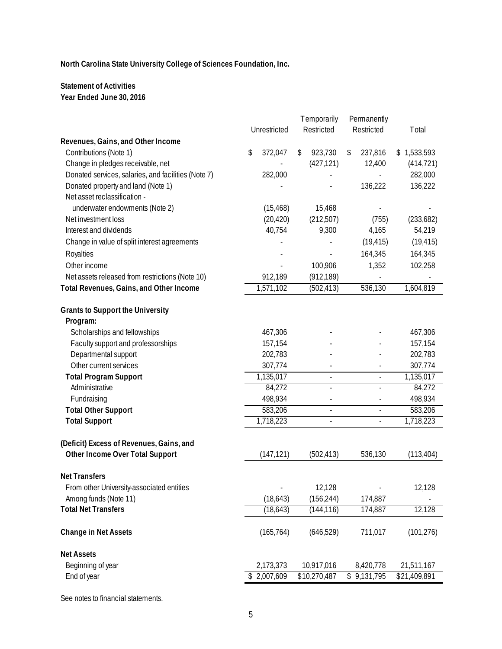### **Statement of Activities Year Ended June 30, 2016**

|                                                     | Unrestricted  |                          | <b>Temporarily</b><br>Restricted | Permanently<br>Restricted | Total        |
|-----------------------------------------------------|---------------|--------------------------|----------------------------------|---------------------------|--------------|
| Revenues, Gains, and Other Income                   |               |                          |                                  |                           |              |
| Contributions (Note 1)                              | \$<br>372,047 | \$                       | 923,730                          | \$<br>237,816             | \$1,533,593  |
| Change in pledges receivable, net                   |               |                          | (427, 121)                       | 12,400                    | (414, 721)   |
| Donated services, salaries, and facilities (Note 7) | 282,000       |                          |                                  |                           | 282,000      |
| Donated property and land (Note 1)                  |               |                          |                                  | 136,222                   | 136,222      |
| Net asset reclassification -                        |               |                          |                                  |                           |              |
| underwater endowments (Note 2)                      | (15, 468)     |                          | 15,468                           |                           |              |
| Net investment loss                                 | (20, 420)     |                          | (212, 507)                       | (755)                     | (233, 682)   |
| Interest and dividends                              | 40,754        |                          | 9,300                            | 4,165                     | 54,219       |
| Change in value of split interest agreements        |               |                          |                                  | (19, 415)                 | (19, 415)    |
| Royalties                                           |               |                          |                                  | 164,345                   | 164,345      |
| Other income                                        |               |                          | 100,906                          | 1,352                     | 102,258      |
| Net assets released from restrictions (Note 10)     | 912,189       |                          | (912, 189)                       |                           |              |
| Total Revenues, Gains, and Other Income             | 1,571,102     |                          | (502, 413)                       | 536,130                   | 1,604,819    |
|                                                     |               |                          |                                  |                           |              |
| <b>Grants to Support the University</b>             |               |                          |                                  |                           |              |
| Program:                                            |               |                          |                                  |                           |              |
| Scholarships and fellowships                        | 467,306       |                          |                                  |                           | 467,306      |
| Faculty support and professorships                  | 157,154       |                          |                                  |                           | 157,154      |
| Departmental support                                | 202,783       |                          |                                  |                           | 202,783      |
| Other current services                              | 307,774       |                          |                                  |                           | 307,774      |
| <b>Total Program Support</b>                        | 1,135,017     |                          | $\frac{1}{2}$                    | $\frac{1}{2}$             | 1,135,017    |
| Administrative                                      | 84,272        |                          | L,                               |                           | 84,272       |
| Fundraising                                         | 498,934       |                          | $\overline{\phantom{a}}$         | $\overline{a}$            | 498,934      |
| <b>Total Other Support</b>                          | 583,206       |                          | $\blacksquare$                   | $\overline{a}$            | 583,206      |
| <b>Total Support</b>                                | 1,718,223     | $\overline{\phantom{0}}$ |                                  | $\frac{1}{2}$             | 1,718,223    |
|                                                     |               |                          |                                  |                           |              |
| (Deficit) Excess of Revenues, Gains, and            |               |                          |                                  |                           |              |
| Other Income Over Total Support                     | (147, 121)    |                          | (502, 413)                       | 536,130                   | (113, 404)   |
|                                                     |               |                          |                                  |                           |              |
| <b>Net Transfers</b>                                |               |                          |                                  |                           |              |
| From other University-associated entities           |               |                          | 12,128                           |                           | 12,128       |
| Among funds (Note 11)                               | (18, 643)     |                          | (156, 244)                       | 174,887                   |              |
| <b>Total Net Transfers</b>                          | (18, 643)     |                          | (144, 116)                       | 174,887                   | 12,128       |
| <b>Change in Net Assets</b>                         | (165, 764)    |                          | (646, 529)                       | 711,017                   | (101, 276)   |
| <b>Net Assets</b>                                   |               |                          |                                  |                           |              |
| Beginning of year                                   | 2,173,373     |                          | 10,917,016                       | 8,420,778                 | 21,511,167   |
| End of year                                         | \$2,007,609   |                          | \$10,270,487                     | $\frac{1}{2}$ 9,131,795   | \$21,409,891 |
|                                                     |               |                          |                                  |                           |              |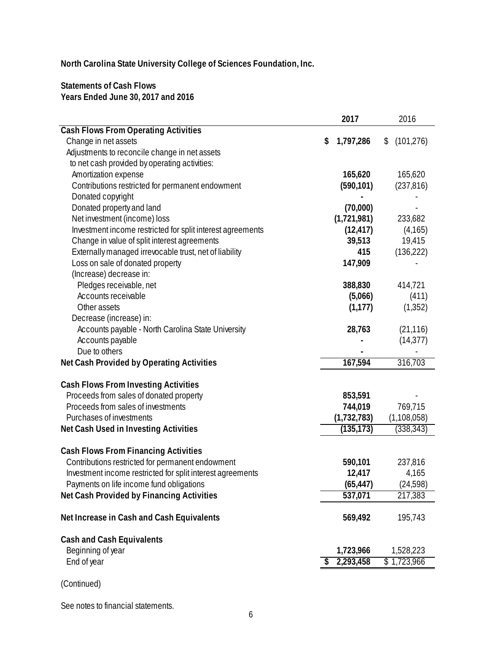**Statements of Cash Flows Years Ended June 30, 2017 and 2016**

|                                                            | 2017            | 2016             |          |
|------------------------------------------------------------|-----------------|------------------|----------|
| <b>Cash Flows From Operating Activities</b>                |                 |                  |          |
| Change in net assets                                       | \$<br>1,797,286 | (101, 276)<br>\$ |          |
| Adjustments to reconcile change in net assets              |                 |                  |          |
| to net cash provided by operating activities:              |                 |                  |          |
| Amortization expense                                       | 165,620         | 165,620          |          |
| Contributions restricted for permanent endowment           | (590, 101)      | (237, 816)       |          |
| Donated copyright                                          |                 |                  |          |
| Donated property and land                                  | (70,000)        |                  |          |
| Net investment (income) loss                               | (1,721,981)     | 233,682          |          |
| Investment income restricted for split interest agreements | (12, 417)       |                  | (4, 165) |
| Change in value of split interest agreements               | 39,513          | 19,415           |          |
| Externally managed irrevocable trust, net of liability     | 415             | (136, 222)       |          |
| Loss on sale of donated property                           | 147,909         |                  |          |
| (Increase) decrease in:                                    |                 |                  |          |
| Pledges receivable, net                                    | 388,830         | 414,721          |          |
| Accounts receivable                                        | (5,066)         |                  | (411)    |
| Other assets                                               | (1, 177)        |                  | (1, 352) |
| Decrease (increase) in:                                    |                 |                  |          |
| Accounts payable - North Carolina State University         | 28,763          | (21, 116)        |          |
| Accounts payable                                           |                 | (14, 377)        |          |
| Due to others                                              |                 |                  |          |
| Net Cash Provided by Operating Activities                  | 167,594         | 316,703          |          |
| <b>Cash Flows From Investing Activities</b>                |                 |                  |          |
| Proceeds from sales of donated property                    | 853,591         |                  |          |
| Proceeds from sales of investments                         | 744,019         | 769,715          |          |
| Purchases of investments                                   | (1,732,783)     | (1, 108, 058)    |          |
| Net Cash Used in Investing Activities                      | (135, 173)      | (338, 343)       |          |
|                                                            |                 |                  |          |
| <b>Cash Flows From Financing Activities</b>                |                 |                  |          |
| Contributions restricted for permanent endowment           | 590,101         | 237,816          |          |
| Investment income restricted for split interest agreements | 12,417          |                  | 4,165    |
| Payments on life income fund obligations                   | (65, 447)       | (24, 598)        |          |
| Net Cash Provided by Financing Activities                  | 537,071         | 217,383          |          |
|                                                            |                 |                  |          |
| Net Increase in Cash and Cash Equivalents                  | 569,492         | 195,743          |          |
| <b>Cash and Cash Equivalents</b>                           |                 |                  |          |
| Beginning of year                                          | 1,723,966       | 1,528,223        |          |
| End of year                                                | 2,293,458       | \$1,723,966      |          |
|                                                            |                 |                  |          |
| (Continued)                                                |                 |                  |          |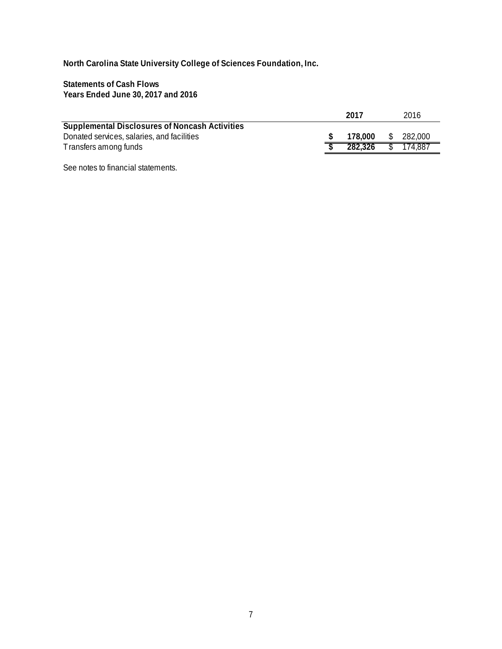**Statements of Cash Flows Years Ended June 30, 2017 and 2016**

|                                                       | 2017    | 2016          |
|-------------------------------------------------------|---------|---------------|
| <b>Supplemental Disclosures of Noncash Activities</b> |         |               |
| Donated services, salaries, and facilities            | 178.000 | \$<br>282.000 |
| Transfers among funds                                 | 282.326 | 174.887       |
|                                                       |         |               |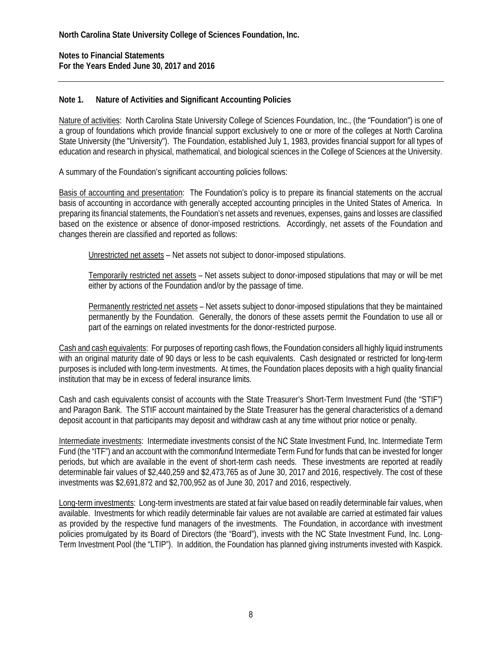**Notes to Financial Statements For the Years Ended June 30, 2017 and 2016** 

#### **Note 1. Nature of Activities and Significant Accounting Policies**

Nature of activities: North Carolina State University College of Sciences Foundation, Inc., (the "Foundation") is one of a group of foundations which provide financial support exclusively to one or more of the colleges at North Carolina State University (the "University"). The Foundation, established July 1, 1983, provides financial support for all types of education and research in physical, mathematical, and biological sciences in the College of Sciences at the University.

A summary of the Foundation's significant accounting policies follows:

Basis of accounting and presentation: The Foundation's policy is to prepare its financial statements on the accrual basis of accounting in accordance with generally accepted accounting principles in the United States of America. In preparing its financial statements, the Foundation's net assets and revenues, expenses, gains and losses are classified based on the existence or absence of donor-imposed restrictions. Accordingly, net assets of the Foundation and changes therein are classified and reported as follows:

Unrestricted net assets – Net assets not subject to donor-imposed stipulations.

Temporarily restricted net assets – Net assets subject to donor-imposed stipulations that may or will be met either by actions of the Foundation and/or by the passage of time.

Permanently restricted net assets - Net assets subject to donor-imposed stipulations that they be maintained permanently by the Foundation. Generally, the donors of these assets permit the Foundation to use all or part of the earnings on related investments for the donor-restricted purpose.

Cash and cash equivalents: For purposes of reporting cash flows, the Foundation considers all highly liquid instruments with an original maturity date of 90 days or less to be cash equivalents. Cash designated or restricted for long-term purposes is included with long-term investments. At times, the Foundation places deposits with a high quality financial institution that may be in excess of federal insurance limits.

Cash and cash equivalents consist of accounts with the State Treasurer's Short-Term Investment Fund (the "STIF") and Paragon Bank. The STIF account maintained by the State Treasurer has the general characteristics of a demand deposit account in that participants may deposit and withdraw cash at any time without prior notice or penalty.

Intermediate investments: Intermediate investments consist of the NC State Investment Fund, Inc. Intermediate Term Fund (the "ITF") and an account with the common*f*und Intermediate Term Fund for funds that can be invested for longer periods, but which are available in the event of short-term cash needs. These investments are reported at readily determinable fair values of \$2,440,259 and \$2,473,765 as of June 30, 2017 and 2016, respectively. The cost of these investments was \$2,691,872 and \$2,700,952 as of June 30, 2017 and 2016, respectively.

Long-term investments: Long-term investments are stated at fair value based on readily determinable fair values, when available. Investments for which readily determinable fair values are not available are carried at estimated fair values as provided by the respective fund managers of the investments. The Foundation, in accordance with investment policies promulgated by its Board of Directors (the "Board"), invests with the NC State Investment Fund, Inc. Long-Term Investment Pool (the "LTIP"). In addition, the Foundation has planned giving instruments invested with Kaspick.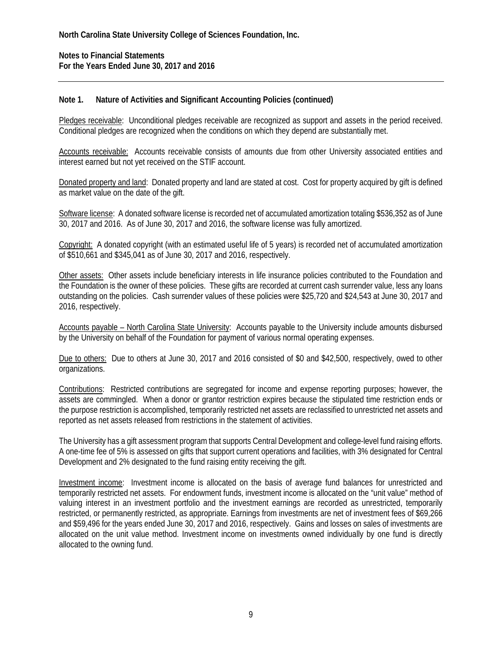**Notes to Financial Statements For the Years Ended June 30, 2017 and 2016** 

#### **Note 1. Nature of Activities and Significant Accounting Policies (continued)**

Pledges receivable: Unconditional pledges receivable are recognized as support and assets in the period received. Conditional pledges are recognized when the conditions on which they depend are substantially met.

Accounts receivable: Accounts receivable consists of amounts due from other University associated entities and interest earned but not yet received on the STIF account.

Donated property and land: Donated property and land are stated at cost. Cost for property acquired by gift is defined as market value on the date of the gift.

Software license: A donated software license is recorded net of accumulated amortization totaling \$536,352 as of June 30, 2017 and 2016. As of June 30, 2017 and 2016, the software license was fully amortized.

Copyright: A donated copyright (with an estimated useful life of 5 years) is recorded net of accumulated amortization of \$510,661 and \$345,041 as of June 30, 2017 and 2016, respectively.

Other assets: Other assets include beneficiary interests in life insurance policies contributed to the Foundation and the Foundation is the owner of these policies. These gifts are recorded at current cash surrender value, less any loans outstanding on the policies. Cash surrender values of these policies were \$25,720 and \$24,543 at June 30, 2017 and 2016, respectively.

Accounts payable – North Carolina State University: Accounts payable to the University include amounts disbursed by the University on behalf of the Foundation for payment of various normal operating expenses.

Due to others: Due to others at June 30, 2017 and 2016 consisted of \$0 and \$42,500, respectively, owed to other organizations.

Contributions: Restricted contributions are segregated for income and expense reporting purposes; however, the assets are commingled. When a donor or grantor restriction expires because the stipulated time restriction ends or the purpose restriction is accomplished, temporarily restricted net assets are reclassified to unrestricted net assets and reported as net assets released from restrictions in the statement of activities.

The University has a gift assessment program that supports Central Development and college-level fund raising efforts. A one-time fee of 5% is assessed on gifts that support current operations and facilities, with 3% designated for Central Development and 2% designated to the fund raising entity receiving the gift.

Investment income: Investment income is allocated on the basis of average fund balances for unrestricted and temporarily restricted net assets. For endowment funds, investment income is allocated on the "unit value" method of valuing interest in an investment portfolio and the investment earnings are recorded as unrestricted, temporarily restricted, or permanently restricted, as appropriate. Earnings from investments are net of investment fees of \$69,266 and \$59,496 for the years ended June 30, 2017 and 2016, respectively. Gains and losses on sales of investments are allocated on the unit value method. Investment income on investments owned individually by one fund is directly allocated to the owning fund.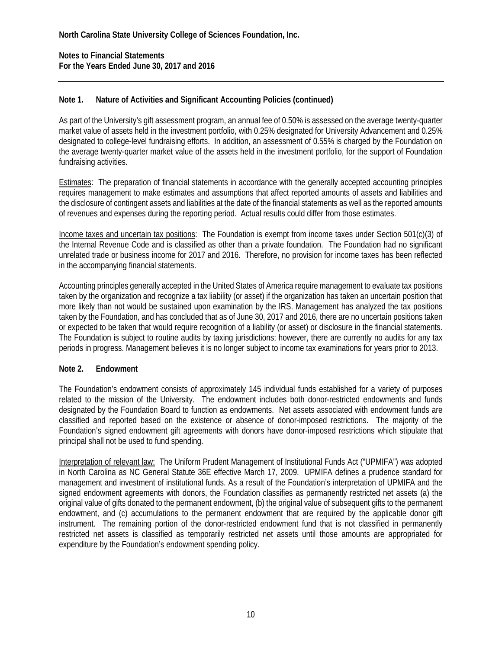**Notes to Financial Statements For the Years Ended June 30, 2017 and 2016** 

### **Note 1. Nature of Activities and Significant Accounting Policies (continued)**

As part of the University's gift assessment program, an annual fee of 0.50% is assessed on the average twenty-quarter market value of assets held in the investment portfolio, with 0.25% designated for University Advancement and 0.25% designated to college-level fundraising efforts. In addition, an assessment of 0.55% is charged by the Foundation on the average twenty-quarter market value of the assets held in the investment portfolio, for the support of Foundation fundraising activities.

Estimates: The preparation of financial statements in accordance with the generally accepted accounting principles requires management to make estimates and assumptions that affect reported amounts of assets and liabilities and the disclosure of contingent assets and liabilities at the date of the financial statements as well as the reported amounts of revenues and expenses during the reporting period. Actual results could differ from those estimates.

Income taxes and uncertain tax positions: The Foundation is exempt from income taxes under Section 501(c)(3) of the Internal Revenue Code and is classified as other than a private foundation. The Foundation had no significant unrelated trade or business income for 2017 and 2016. Therefore, no provision for income taxes has been reflected in the accompanying financial statements.

Accounting principles generally accepted in the United States of America require management to evaluate tax positions taken by the organization and recognize a tax liability (or asset) if the organization has taken an uncertain position that more likely than not would be sustained upon examination by the IRS. Management has analyzed the tax positions taken by the Foundation, and has concluded that as of June 30, 2017 and 2016, there are no uncertain positions taken or expected to be taken that would require recognition of a liability (or asset) or disclosure in the financial statements. The Foundation is subject to routine audits by taxing jurisdictions; however, there are currently no audits for any tax periods in progress. Management believes it is no longer subject to income tax examinations for years prior to 2013.

### **Note 2. Endowment**

The Foundation's endowment consists of approximately 145 individual funds established for a variety of purposes related to the mission of the University. The endowment includes both donor-restricted endowments and funds designated by the Foundation Board to function as endowments. Net assets associated with endowment funds are classified and reported based on the existence or absence of donor-imposed restrictions. The majority of the Foundation's signed endowment gift agreements with donors have donor-imposed restrictions which stipulate that principal shall not be used to fund spending.

Interpretation of relevant law: The Uniform Prudent Management of Institutional Funds Act ("UPMIFA") was adopted in North Carolina as NC General Statute 36E effective March 17, 2009. UPMIFA defines a prudence standard for management and investment of institutional funds. As a result of the Foundation's interpretation of UPMIFA and the signed endowment agreements with donors, the Foundation classifies as permanently restricted net assets (a) the original value of gifts donated to the permanent endowment, (b) the original value of subsequent gifts to the permanent endowment, and (c) accumulations to the permanent endowment that are required by the applicable donor gift instrument. The remaining portion of the donor-restricted endowment fund that is not classified in permanently restricted net assets is classified as temporarily restricted net assets until those amounts are appropriated for expenditure by the Foundation's endowment spending policy.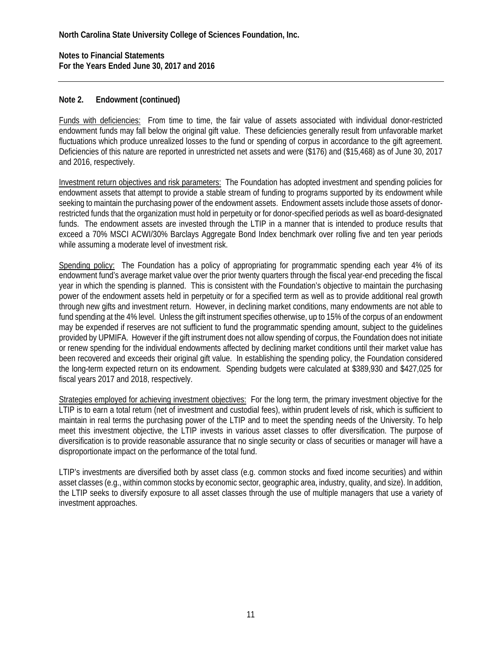**Notes to Financial Statements For the Years Ended June 30, 2017 and 2016** 

#### **Note 2. Endowment (continued)**

Funds with deficiencies: From time to time, the fair value of assets associated with individual donor-restricted endowment funds may fall below the original gift value. These deficiencies generally result from unfavorable market fluctuations which produce unrealized losses to the fund or spending of corpus in accordance to the gift agreement. Deficiencies of this nature are reported in unrestricted net assets and were (\$176) and (\$15,468) as of June 30, 2017 and 2016, respectively.

Investment return objectives and risk parameters: The Foundation has adopted investment and spending policies for endowment assets that attempt to provide a stable stream of funding to programs supported by its endowment while seeking to maintain the purchasing power of the endowment assets. Endowment assets include those assets of donorrestricted funds that the organization must hold in perpetuity or for donor-specified periods as well as board-designated funds. The endowment assets are invested through the LTIP in a manner that is intended to produce results that exceed a 70% MSCI ACWI/30% Barclays Aggregate Bond Index benchmark over rolling five and ten year periods while assuming a moderate level of investment risk.

Spending policy: The Foundation has a policy of appropriating for programmatic spending each year 4% of its endowment fund's average market value over the prior twenty quarters through the fiscal year-end preceding the fiscal year in which the spending is planned. This is consistent with the Foundation's objective to maintain the purchasing power of the endowment assets held in perpetuity or for a specified term as well as to provide additional real growth through new gifts and investment return. However, in declining market conditions, many endowments are not able to fund spending at the 4% level. Unless the gift instrument specifies otherwise, up to 15% of the corpus of an endowment may be expended if reserves are not sufficient to fund the programmatic spending amount, subject to the guidelines provided by UPMIFA. However if the gift instrument does not allow spending of corpus, the Foundation does not initiate or renew spending for the individual endowments affected by declining market conditions until their market value has been recovered and exceeds their original gift value. In establishing the spending policy, the Foundation considered the long-term expected return on its endowment. Spending budgets were calculated at \$389,930 and \$427,025 for fiscal years 2017 and 2018, respectively.

Strategies employed for achieving investment objectives: For the long term, the primary investment objective for the LTIP is to earn a total return (net of investment and custodial fees), within prudent levels of risk, which is sufficient to maintain in real terms the purchasing power of the LTIP and to meet the spending needs of the University. To help meet this investment objective, the LTIP invests in various asset classes to offer diversification. The purpose of diversification is to provide reasonable assurance that no single security or class of securities or manager will have a disproportionate impact on the performance of the total fund.

LTIP's investments are diversified both by asset class (e.g. common stocks and fixed income securities) and within asset classes (e.g., within common stocks by economic sector, geographic area, industry, quality, and size). In addition, the LTIP seeks to diversify exposure to all asset classes through the use of multiple managers that use a variety of investment approaches.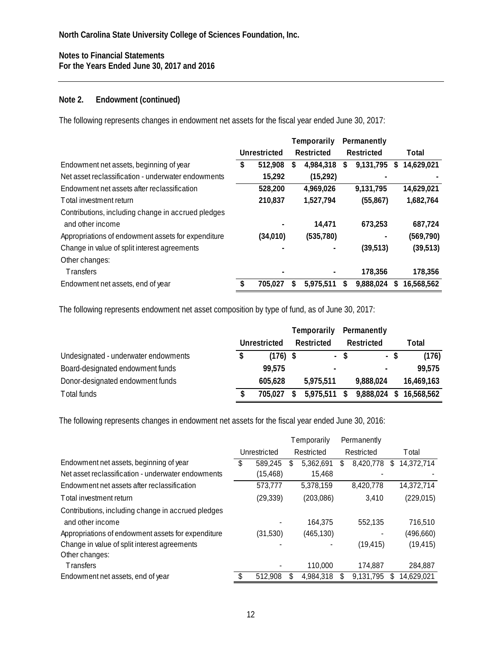#### **Note 2. Endowment (continued)**

The following represents changes in endowment net assets for the fiscal year ended June 30, 2017:

|                                                    |               | Temporarily |            | Permanently |           |                  |
|----------------------------------------------------|---------------|-------------|------------|-------------|-----------|------------------|
|                                                    | Unrestricted  |             | Restricted | Restricted  |           | Total            |
| Endowment net assets, beginning of year            | \$<br>512,908 | S           | 4,984,318  | S           | 9,131,795 | \$<br>14,629,021 |
| Net asset reclassification - underwater endowments | 15,292        |             | (15, 292)  |             |           |                  |
| Endowment net assets after reclassification        | 528,200       |             | 4,969,026  |             | 9,131,795 | 14,629,021       |
| Total investment return                            | 210,837       |             | 1,527,794  |             | (55, 867) | 1,682,764        |
| Contributions, including change in accrued pledges |               |             |            |             |           |                  |
| and other income                                   |               |             | 14,471     |             | 673.253   | 687,724          |
| Appropriations of endowment assets for expenditure | (34, 010)     |             | (535,780)  |             |           | (569, 790)       |
| Change in value of split interest agreements       |               |             |            |             | (39,513)  | (39, 513)        |
| Other changes:                                     |               |             |            |             |           |                  |
| <b>Transfers</b>                                   |               |             |            |             | 178.356   | 178,356          |
| Endowment net assets, end of year                  | 705,027       | \$          | 5.975.511  | \$          | 9,888,024 | \$<br>16,568,562 |

The following represents endowment net asset composition by type of fund, as of June 30, 2017:

|                                      |              |            | Temporarily |                |            | Permanently    |      |            |
|--------------------------------------|--------------|------------|-------------|----------------|------------|----------------|------|------------|
|                                      | Unrestricted |            | Restricted  |                | Restricted |                |      | Total      |
| Undesignated - underwater endowments | S            | $(176)$ \$ |             |                | - \$       |                | - \$ | (176)      |
| Board-designated endowment funds     |              | 99.575     |             | $\blacksquare$ |            | $\blacksquare$ |      | 99,575     |
| Donor-designated endowment funds     |              | 605,628    |             | 5,975,511      |            | 9,888,024      |      | 16,469,163 |
| Total funds                          |              | 705.027    | S           | 5,975,511      | - \$       | 9,888,024      | \$.  | 16,568,562 |

The following represents changes in endowment net assets for the fiscal year ended June 30, 2016:

|                                                    |              |           | Temporarily |            |            | Permanently |    |               |
|----------------------------------------------------|--------------|-----------|-------------|------------|------------|-------------|----|---------------|
|                                                    | Unrestricted |           | Restricted  |            | Restricted |             |    | <b>T</b> otal |
| Endowment net assets, beginning of year            | S            | 589,245   | S           | 5,362,691  | \$         | 8,420,778   | S  | 14,372,714    |
| Net asset reclassification - underwater endowments |              | (15, 468) |             | 15,468     |            |             |    |               |
| Endowment net assets after reclassification        |              | 573.777   |             | 5.378.159  |            | 8.420.778   |    | 14,372,714    |
| Total investment return                            |              | (29, 339) |             | (203,086)  |            | 3,410       |    | (229, 015)    |
| Contributions, including change in accrued pledges |              |           |             |            |            |             |    |               |
| and other income                                   |              |           |             | 164,375    |            | 552.135     |    | 716,510       |
| Appropriations of endowment assets for expenditure |              | (31,530)  |             | (465, 130) |            |             |    | (496, 660)    |
| Change in value of split interest agreements       |              |           |             |            |            | (19, 415)   |    | (19, 415)     |
| Other changes:                                     |              |           |             |            |            |             |    |               |
| <b>Transfers</b>                                   |              |           |             | 110,000    |            | 174.887     |    | 284,887       |
| Endowment net assets, end of year                  |              | 512,908   |             | 4.984.318  |            | 9.131.795   | S. | 14.629.021    |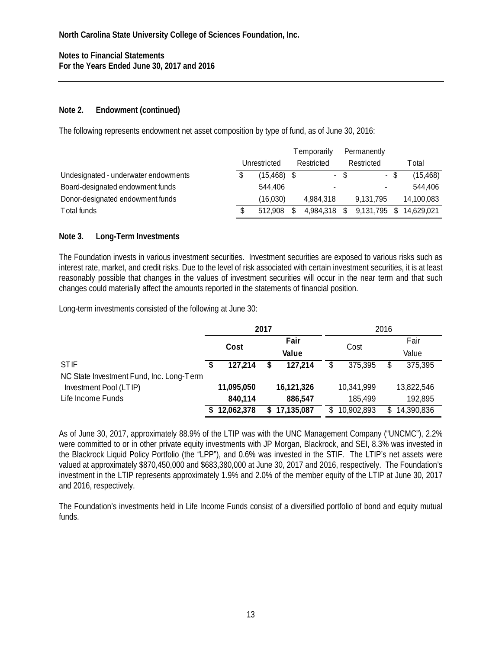### **Note 2. Endowment (continued)**

The following represents endowment net asset composition by type of fund, as of June 30, 2016:

|                                      |              |                |            | T emporarily | Permanently |              |  |            |
|--------------------------------------|--------------|----------------|------------|--------------|-------------|--------------|--|------------|
|                                      | Unrestricted |                | Restricted |              | Restricted  |              |  | T otal     |
| Undesignated - underwater endowments |              | $(15, 468)$ \$ |            |              | - \$        |              |  | (15, 468)  |
| Board-designated endowment funds     |              | 544,406        |            |              |             |              |  | 544,406    |
| Donor-designated endowment funds     |              | (16,030)       |            | 4,984,318    |             | 9.131.795    |  | 14,100,083 |
| Total funds                          |              | 512.908        |            | 4,984,318 \$ |             | 9,131,795 \$ |  | 14.629.021 |

### **Note 3. Long-Term Investments**

The Foundation invests in various investment securities. Investment securities are exposed to various risks such as interest rate, market, and credit risks. Due to the level of risk associated with certain investment securities, it is at least reasonably possible that changes in the values of investment securities will occur in the near term and that such changes could materially affect the amounts reported in the statements of financial position.

Long-term investments consisted of the following at June 30:

|                                          |              | 2017          |              | 2016             |               |            |  |
|------------------------------------------|--------------|---------------|--------------|------------------|---------------|------------|--|
|                                          | Cost         | Fair<br>Value |              |                  |               | Fair       |  |
|                                          |              |               |              | Cost             |               | Value      |  |
| <b>STIF</b>                              | 127.214      |               | 127,214      | 375,395          | S.            | 375,395    |  |
| NC State Investment Fund, Inc. Long-Term |              |               |              |                  |               |            |  |
| Investment Pool (LTIP)                   | 11,095,050   |               | 16,121,326   | 10,341,999       |               | 13,822,546 |  |
| Life Income Funds                        | 840,114      |               | 886,547      | 185,499          |               | 192,895    |  |
|                                          | \$12,062,378 |               | \$17,135,087 | \$<br>10,902,893 | <sup>\$</sup> | 14,390,836 |  |

As of June 30, 2017, approximately 88.9% of the LTIP was with the UNC Management Company ("UNCMC"), 2.2% were committed to or in other private equity investments with JP Morgan, Blackrock, and SEI, 8.3% was invested in the Blackrock Liquid Policy Portfolio (the "LPP"), and 0.6% was invested in the STIF. The LTIP's net assets were valued at approximately \$870,450,000 and \$683,380,000 at June 30, 2017 and 2016, respectively. The Foundation's investment in the LTIP represents approximately 1.9% and 2.0% of the member equity of the LTIP at June 30, 2017 and 2016, respectively.

The Foundation's investments held in Life Income Funds consist of a diversified portfolio of bond and equity mutual funds.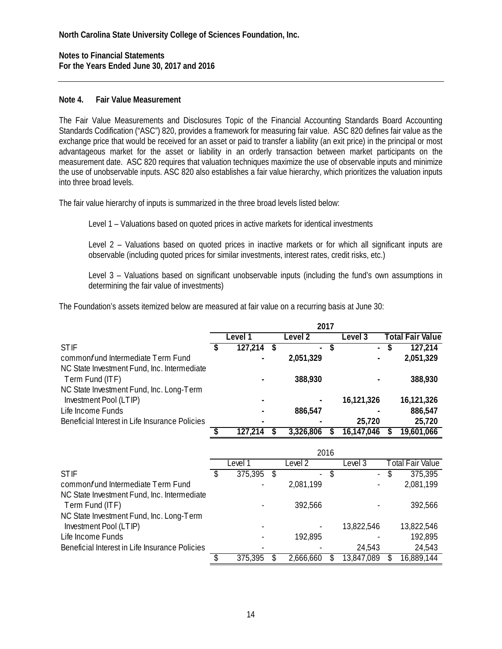**Notes to Financial Statements For the Years Ended June 30, 2017 and 2016** 

#### **Note 4. Fair Value Measurement**

The Fair Value Measurements and Disclosures Topic of the Financial Accounting Standards Board Accounting Standards Codification ("ASC") 820, provides a framework for measuring fair value. ASC 820 defines fair value as the exchange price that would be received for an asset or paid to transfer a liability (an exit price) in the principal or most advantageous market for the asset or liability in an orderly transaction between market participants on the measurement date. ASC 820 requires that valuation techniques maximize the use of observable inputs and minimize the use of unobservable inputs. ASC 820 also establishes a fair value hierarchy, which prioritizes the valuation inputs into three broad levels.

The fair value hierarchy of inputs is summarized in the three broad levels listed below:

Level 1 – Valuations based on quoted prices in active markets for identical investments

Level 2 – Valuations based on quoted prices in inactive markets or for which all significant inputs are observable (including quoted prices for similar investments, interest rates, credit risks, etc.)

Level 3 – Valuations based on significant unobservable inputs (including the fund's own assumptions in determining the fair value of investments)

The Foundation's assets itemized below are measured at fair value on a recurring basis at June 30:

|                                                | 2017 |         |  |                |    |            |   |                         |  |  |  |  |
|------------------------------------------------|------|---------|--|----------------|----|------------|---|-------------------------|--|--|--|--|
|                                                |      | Level 1 |  | Level 2        |    | Level 3    |   | <b>Total Fair Value</b> |  |  |  |  |
| <b>STIF</b>                                    |      | 127,214 |  | $\blacksquare$ | \$ | $\sim$     | S | 127,214                 |  |  |  |  |
| commonfund Intermediate Term Fund              |      |         |  | 2,051,329      |    |            |   | 2,051,329               |  |  |  |  |
| NC State Investment Fund, Inc. Intermediate    |      |         |  |                |    |            |   |                         |  |  |  |  |
| Term Fund (ITF)                                |      |         |  | 388,930        |    |            |   | 388,930                 |  |  |  |  |
| NC State Investment Fund, Inc. Long-Term       |      |         |  |                |    |            |   |                         |  |  |  |  |
| Investment Pool (LTIP)                         |      |         |  |                |    | 16,121,326 |   | 16,121,326              |  |  |  |  |
| Life Income Funds                              |      |         |  | 886,547        |    |            |   | 886,547                 |  |  |  |  |
| Beneficial Interest in Life Insurance Policies |      |         |  |                |    | 25,720     |   | 25,720                  |  |  |  |  |
|                                                |      | 127.214 |  | 3,326,806      |    | 16,147,046 |   | 19,601,066              |  |  |  |  |

|                                                | 2016 |         |    |                |  |            |  |                  |
|------------------------------------------------|------|---------|----|----------------|--|------------|--|------------------|
|                                                |      | Level i |    | evel 2         |  | Level 3    |  | Total Fair Value |
| <b>STIF</b>                                    |      | 375,395 | S. | $\blacksquare$ |  | $\sim$     |  | 375,395          |
| common fund Intermediate Term Fund             |      |         |    | 2,081,199      |  |            |  | 2,081,199        |
| NC State Investment Fund, Inc. Intermediate    |      |         |    |                |  |            |  |                  |
| Term Fund (ITF)                                |      |         |    | 392,566        |  |            |  | 392,566          |
| NC State Investment Fund, Inc. Long-Term       |      |         |    |                |  |            |  |                  |
| Investment Pool (LTIP)                         |      |         |    |                |  | 13,822,546 |  | 13,822,546       |
| Life Income Funds                              |      |         |    | 192,895        |  |            |  | 192,895          |
| Beneficial Interest in Life Insurance Policies |      |         |    |                |  | 24,543     |  | 24,543           |
|                                                |      | 375,395 |    | 2.666.660      |  | 13,847,089 |  | 16,889,144       |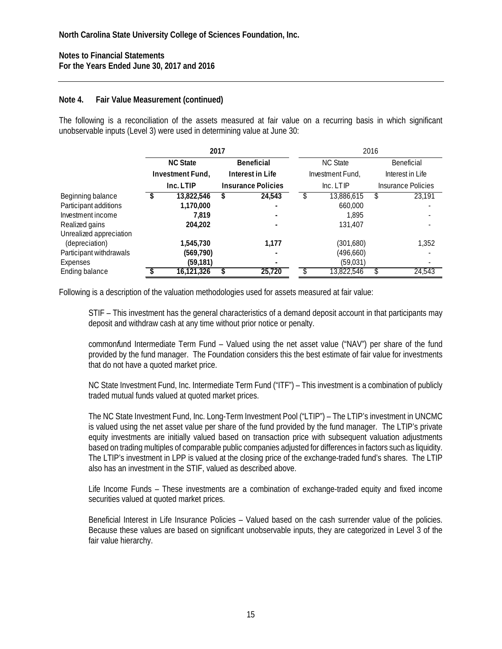#### **Note 4. Fair Value Measurement (continued)**

The following is a reconciliation of the assets measured at fair value on a recurring basis in which significant unobservable inputs (Level 3) were used in determining value at June 30:

|                         |                  | 2017             |                           | 2016             |                  |                    |
|-------------------------|------------------|------------------|---------------------------|------------------|------------------|--------------------|
|                         | <b>NC State</b>  | Beneficial       |                           | <b>NC State</b>  |                  | Beneficial         |
|                         | Investment Fund, | Interest in Life |                           | Investment Fund, | Interest in Life |                    |
|                         | Inc. LTIP        |                  | <b>Insurance Policies</b> | Inc. LTIP        |                  | Insurance Policies |
| Beginning balance       | 13,822,546       |                  | 24.543                    | 13,886,615       |                  | 23,191             |
| Participant additions   | 1,170,000        |                  | $\overline{\phantom{0}}$  | 660,000          |                  |                    |
| Investment income       | 7.819            |                  |                           | 1.895            |                  |                    |
| Realized gains          | 204.202          |                  |                           | 131.407          |                  |                    |
| Unrealized appreciation |                  |                  |                           |                  |                  |                    |
| (depreciation)          | 1,545,730        |                  | 1.177                     | (301,680)        |                  | 1,352              |
| Participant withdrawals | (569, 790)       |                  |                           | (496,660)        |                  |                    |
| Expenses                | (59, 181)        |                  |                           | (59,031)         |                  |                    |
| Ending balance          | 16,121,326       |                  | 25,720                    | 13,822,546       |                  | 24,543             |

Following is a description of the valuation methodologies used for assets measured at fair value:

STIF – This investment has the general characteristics of a demand deposit account in that participants may deposit and withdraw cash at any time without prior notice or penalty.

common*f*und Intermediate Term Fund – Valued using the net asset value ("NAV") per share of the fund provided by the fund manager. The Foundation considers this the best estimate of fair value for investments that do not have a quoted market price.

NC State Investment Fund, Inc. Intermediate Term Fund ("ITF") – This investment is a combination of publicly traded mutual funds valued at quoted market prices.

The NC State Investment Fund, Inc. Long-Term Investment Pool ("LTIP") – The LTIP's investment in UNCMC is valued using the net asset value per share of the fund provided by the fund manager. The LTIP's private equity investments are initially valued based on transaction price with subsequent valuation adjustments based on trading multiples of comparable public companies adjusted for differences in factors such as liquidity. The LTIP's investment in LPP is valued at the closing price of the exchange-traded fund's shares. The LTIP also has an investment in the STIF, valued as described above.

Life Income Funds – These investments are a combination of exchange-traded equity and fixed income securities valued at quoted market prices.

Beneficial Interest in Life Insurance Policies – Valued based on the cash surrender value of the policies. Because these values are based on significant unobservable inputs, they are categorized in Level 3 of the fair value hierarchy.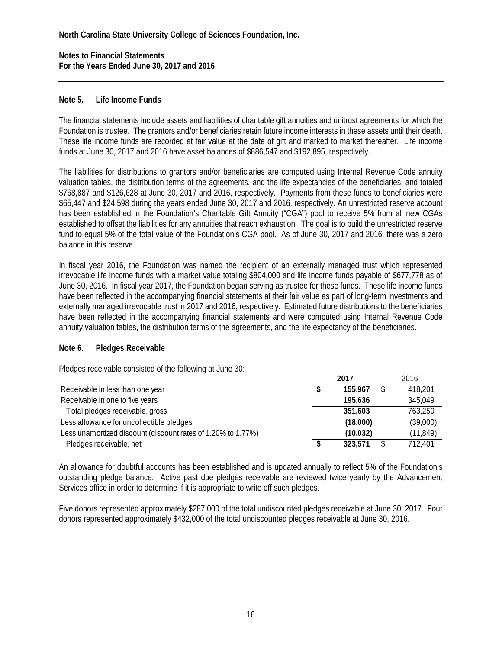#### **Note 5. Life Income Funds**

The financial statements include assets and liabilities of charitable gift annuities and unitrust agreements for which the Foundation is trustee. The grantors and/or beneficiaries retain future income interests in these assets until their death. These life income funds are recorded at fair value at the date of gift and marked to market thereafter. Life income funds at June 30, 2017 and 2016 have asset balances of \$886,547 and \$192,895, respectively.

The liabilities for distributions to grantors and/or beneficiaries are computed using Internal Revenue Code annuity valuation tables, the distribution terms of the agreements, and the life expectancies of the beneficiaries, and totaled \$768,887 and \$126,628 at June 30, 2017 and 2016, respectively. Payments from these funds to beneficiaries were \$65,447 and \$24,598 during the years ended June 30, 2017 and 2016, respectively. An unrestricted reserve account has been established in the Foundation's Charitable Gift Annuity ("CGA") pool to receive 5% from all new CGAs established to offset the liabilities for any annuities that reach exhaustion. The goal is to build the unrestricted reserve fund to equal 5% of the total value of the Foundation's CGA pool. As of June 30, 2017 and 2016, there was a zero balance in this reserve.

In fiscal year 2016, the Foundation was named the recipient of an externally managed trust which represented irrevocable life income funds with a market value totaling \$804,000 and life income funds payable of \$677,778 as of June 30, 2016. In fiscal year 2017, the Foundation began serving as trustee for these funds. These life income funds have been reflected in the accompanying financial statements at their fair value as part of long-term investments and externally managed irrevocable trust in 2017 and 2016, respectively. Estimated future distributions to the beneficiaries have been reflected in the accompanying financial statements and were computed using Internal Revenue Code annuity valuation tables, the distribution terms of the agreements, and the life expectancy of the beneficiaries.

#### **Note 6. Pledges Receivable**

Pledges receivable consisted of the following at June 30:

|                                                              | 2017 |          | 2016      |
|--------------------------------------------------------------|------|----------|-----------|
| Receivable in less than one year                             |      | 155,967  | 418,201   |
| Receivable in one to five years                              |      | 195.636  | 345,049   |
| Total pledges receivable, gross                              |      | 351,603  | 763,250   |
| Less allowance for uncollectible pledges                     |      | (18,000) | (39,000)  |
| Less unamortized discount (discount rates of 1.20% to 1.77%) |      | (10,032) | (11, 849) |
| Pledges receivable, net                                      |      | 323.571  | 712,401   |

An allowance for doubtful accounts has been established and is updated annually to reflect 5% of the Foundation's outstanding pledge balance. Active past due pledges receivable are reviewed twice yearly by the Advancement Services office in order to determine if it is appropriate to write off such pledges.

Five donors represented approximately \$287,000 of the total undiscounted pledges receivable at June 30, 2017. Four donors represented approximately \$432,000 of the total undiscounted pledges receivable at June 30, 2016.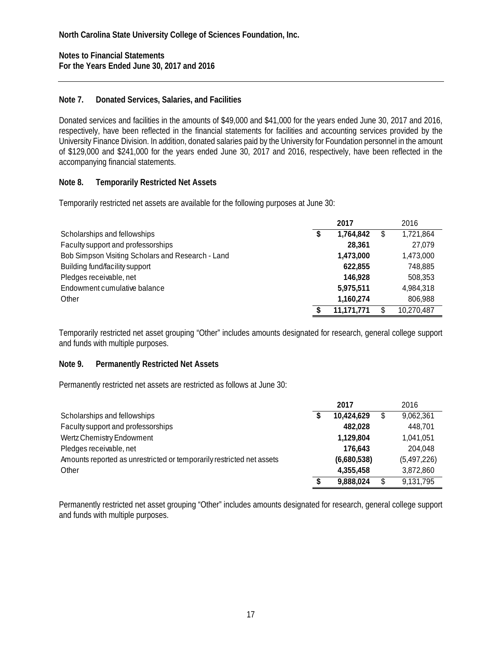**Notes to Financial Statements For the Years Ended June 30, 2017 and 2016** 

### **Note 7. Donated Services, Salaries, and Facilities**

Donated services and facilities in the amounts of \$49,000 and \$41,000 for the years ended June 30, 2017 and 2016, respectively, have been reflected in the financial statements for facilities and accounting services provided by the University Finance Division. In addition, donated salaries paid by the University for Foundation personnel in the amount of \$129,000 and \$241,000 for the years ended June 30, 2017 and 2016, respectively, have been reflected in the accompanying financial statements.

### **Note 8. Temporarily Restricted Net Assets**

Temporarily restricted net assets are available for the following purposes at June 30:

|                                                   | 2017            | 2016       |
|---------------------------------------------------|-----------------|------------|
| Scholarships and fellowships                      | \$<br>1.764.842 | 1,721,864  |
| Faculty support and professorships                | 28,361          | 27,079     |
| Bob Simpson Visiting Scholars and Research - Land | 1,473,000       | 1,473,000  |
| Building fund/facility support                    | 622.855         | 748.885    |
| Pledges receivable, net                           | 146.928         | 508,353    |
| Endowment cumulative balance                      | 5,975,511       | 4,984,318  |
| Other                                             | 1,160,274       | 806,988    |
|                                                   | 11.171.771      | 10,270,487 |

Temporarily restricted net asset grouping "Other" includes amounts designated for research, general college support and funds with multiple purposes.

### **Note 9. Permanently Restricted Net Assets**

Permanently restricted net assets are restricted as follows at June 30:

|                                                                       |   | 2017        | 2016        |
|-----------------------------------------------------------------------|---|-------------|-------------|
| Scholarships and fellowships                                          |   | 10,424,629  | 9,062,361   |
| Faculty support and professorships                                    |   | 482.028     | 448.701     |
| Wertz Chemistry Endowment                                             |   | 1.129.804   | 1,041,051   |
| Pledges receivable, net                                               |   | 176.643     | 204.048     |
| Amounts reported as unrestricted or temporarily restricted net assets |   | (6,680,538) | (5,497,226) |
| Other                                                                 |   | 4,355,458   | 3,872,860   |
|                                                                       | S | 9,888,024   | 9,131,795   |

Permanently restricted net asset grouping "Other" includes amounts designated for research, general college support and funds with multiple purposes.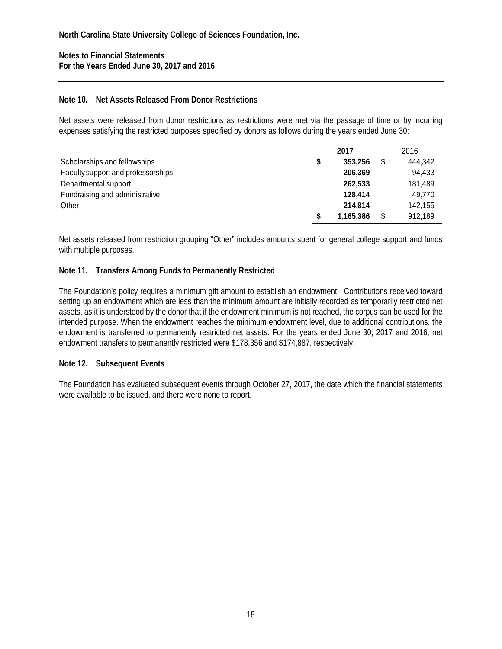#### **Note 10. Net Assets Released From Donor Restrictions**

Net assets were released from donor restrictions as restrictions were met via the passage of time or by incurring expenses satisfying the restricted purposes specified by donors as follows during the years ended June 30:

|                                    | 2017 |           |  | 2016    |
|------------------------------------|------|-----------|--|---------|
| Scholarships and fellowships       | \$   | 353,256   |  | 444,342 |
| Faculty support and professorships |      | 206.369   |  | 94,433  |
| Departmental support               |      | 262.533   |  | 181,489 |
| Fundraising and administrative     |      | 128,414   |  | 49.770  |
| Other                              |      | 214.814   |  | 142.155 |
|                                    |      | 1,165,386 |  | 912,189 |

Net assets released from restriction grouping "Other" includes amounts spent for general college support and funds with multiple purposes.

#### **Note 11. Transfers Among Funds to Permanently Restricted**

The Foundation's policy requires a minimum gift amount to establish an endowment. Contributions received toward setting up an endowment which are less than the minimum amount are initially recorded as temporarily restricted net assets, as it is understood by the donor that if the endowment minimum is not reached, the corpus can be used for the intended purpose. When the endowment reaches the minimum endowment level, due to additional contributions, the endowment is transferred to permanently restricted net assets. For the years ended June 30, 2017 and 2016, net endowment transfers to permanently restricted were \$178,356 and \$174,887, respectively.

#### **Note 12. Subsequent Events**

The Foundation has evaluated subsequent events through October 27, 2017, the date which the financial statements were available to be issued, and there were none to report.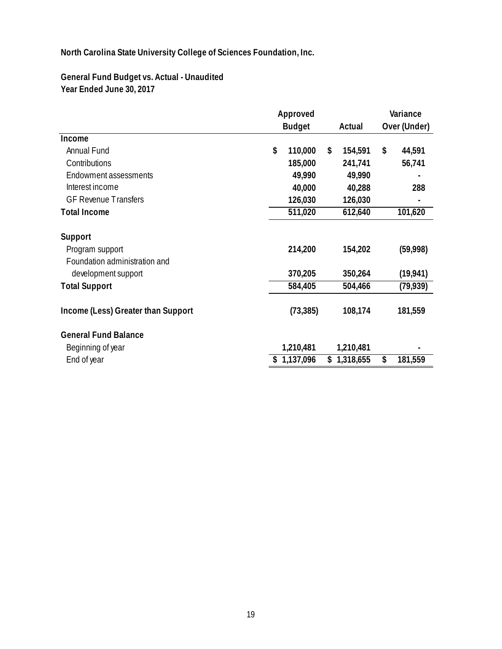**General Fund Budget vs. Actual - Unaudited Year Ended June 30, 2017**

|                                    | Approved |               |    | Variance  |    |              |
|------------------------------------|----------|---------------|----|-----------|----|--------------|
|                                    |          | <b>Budget</b> |    | Actual    |    | Over (Under) |
| Income                             |          |               |    |           |    |              |
| Annual Fund                        | \$       | 110,000       | \$ | 154,591   | \$ | 44,591       |
| Contributions                      |          | 185,000       |    | 241,741   |    | 56,741       |
| Endowment assessments              |          | 49,990        |    | 49,990    |    |              |
| Interest income                    |          | 40,000        |    | 40,288    |    | 288          |
| <b>GF Revenue Transfers</b>        |          | 126,030       |    | 126,030   |    |              |
| <b>Total Income</b>                |          | 511,020       |    | 612,640   |    | 101,620      |
| Support                            |          |               |    |           |    |              |
| Program support                    |          | 214,200       |    | 154,202   |    | (59,998)     |
| Foundation administration and      |          |               |    |           |    |              |
| development support                |          | 370,205       |    | 350,264   |    | (19, 941)    |
| <b>Total Support</b>               |          | 584,405       |    | 504,466   |    | (79, 939)    |
| Income (Less) Greater than Support |          | (73, 385)     |    | 108,174   |    | 181,559      |
| <b>General Fund Balance</b>        |          |               |    |           |    |              |
| Beginning of year                  |          | 1,210,481     |    | 1,210,481 |    |              |
| End of year                        |          | 1,137,096     | \$ | 1,318,655 | \$ | 181,559      |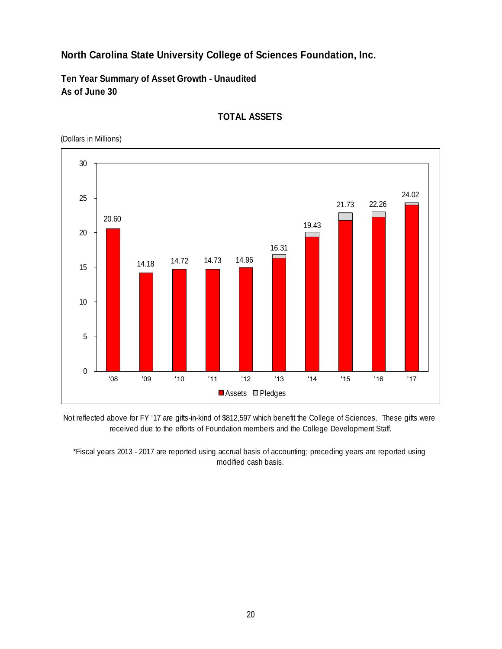**Ten Year Summary of Asset Growth - Unaudited As of June 30**





Not reflected above for FY '17 are gifts-in-kind of \$812,597 which benefit the College of Sciences. These gifts were received due to the efforts of Foundation members and the College Development Staff.

\*Fiscal years 2013 - 2017 are reported using accrual basis of accounting; preceding years are reported using modified cash basis.